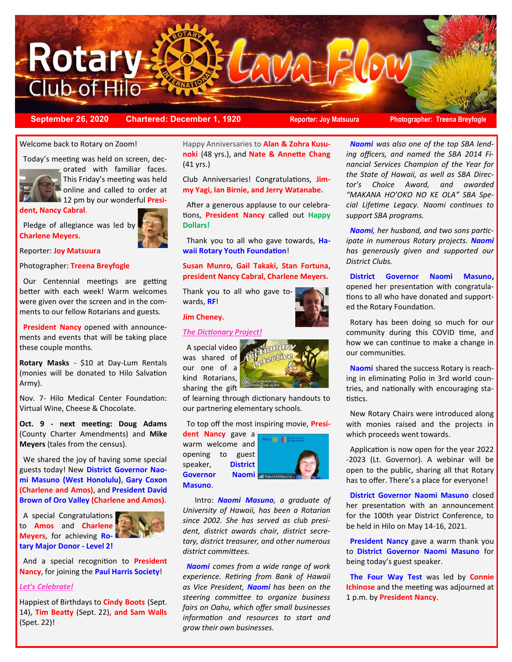

**September 26, 2020 Chartered: December 1, 1920 Reporter: Joy Matsuura Photographer: Treena Breyfogle** 

#### Welcome back to Rotary on Zoom!

Today's meeting was held on screen, dec-



orated with familiar faces. This Friday's meeting was held online and called to order at

12 pm by our wonderful **Presi-**

**dent, Nancy Cabral**.

 Pledge of allegiance was led by **Charlene Meyers**.



Reporter: **Joy Matsuura**

#### Photographer: **Treena Breyfogle**

 Our Centennial meetings are getting better with each week! Warm welcomes were given over the screen and in the comments to our fellow Rotarians and guests.

 **President Nancy** opened with announcements and events that will be taking place these couple months.

**Rotary Masks** - \$10 at Day-Lum Rentals (monies will be donated to Hilo Salvation Army).

Nov. 7- Hilo Medical Center Foundation: Virtual Wine, Cheese & Chocolate.

**Oct. 9 - next meeting: Doug Adams**  (County Charter Amendments) and **Mike Meyers** (tales from the census).

 We shared the joy of having some special guests today! New **District Governor Naomi Masuno (West Honolulu)**, **Gary Coxon (Charlene and Amos)**, and **President David Brown of Oro Valley (Charlene and Amos)**.

A special Congratulations to **Amos** and **Charlene Meyers**, for achieving **Rotary Major Donor - Level 2!** 



 And a special recognition to **President Nancy**, for joining the **Paul Harris Society**!

#### *Let's Celebrate!*

Happiest of Birthdays to **Cindy Boots** (Sept. 14)**, Tim Beatty** (Sept. 22)**, and Sam Walls**  (Spet. 22)**!**

Happy Anniversaries to **Alan & Zohra Kusunoki** (48 yrs.), and **Nate & Annette Chang**  (41 yrs.)

Club Anniversaries! Congratulations, **Jimmy Yagi, Ian Birnie, and Jerry Watanabe.** 

 After a generous applause to our celebrations, **President Nancy** called out **Happy Dollars!**

 Thank you to all who gave towards, **Hawaii Rotary Youth Foundation**!

## **Susan Munro, Gail Takaki, Stan Fortuna, president Nancy Cabral, Charlene Meyers.**

Thank you to all who gave towards, **RF**!



### *The Dictionary Project!*

 A special video was shared of our one of a kind Rotarians, sharing the gift



of learning through dictionary handouts to our partnering elementary schools.

To top off the most inspiring movie, **Presi-**

**dent Nancy** gave a warm welcome and opening to guest speaker, **District Governor Naomi Masuno**.



Intro: *Naomi Masuno, a graduate of University of Hawaii, has been a Rotarian since 2002. She has served as club president, district awards chair, district secretary, district treasurer, and other numerous district committees.* 

 *Naomi comes from a wide range of work experience. Retiring from Bank of Hawaii as Vice President, Naomi has been on the steering committee to organize business fairs on Oahu, which offer small businesses information and resources to start and grow their own businesses.* 

 *Naomi was also one of the top SBA lending officers, and named the SBA 2014 Financial Services Champion of the Year for the State of Hawaii, as well as SBA Director's Choice Award, and awarded "MAKANA HO'OKO NO KE OLA" SBA Special Lifetime Legacy. Naomi continues to support SBA programs.*

 *Naomi, her husband, and two sons participate in numerous Rotary projects. Naomi has generously given and supported our District Clubs.* 

 **District Governor Naomi Masuno,**  opened her presentation with congratulations to all who have donated and supported the Rotary Foundation.

 Rotary has been doing so much for our community during this COVID time, and how we can continue to make a change in our communities.

 **Naomi** shared the success Rotary is reaching in eliminating Polio in 3rd world countries, and nationally with encouraging statistics.

 New Rotary Chairs were introduced along with monies raised and the projects in which proceeds went towards.

 Application is now open for the year 2022 -2023 (Lt. Governor). A webinar will be open to the public, sharing all that Rotary has to offer. There's a place for everyone!

 **District Governor Naomi Masuno** closed her presentation with an announcement for the 100th year District Conference, to be held in Hilo on May 14-16, 2021.

 **President Nancy** gave a warm thank you to **District Governor Naomi Masuno** for being today's guest speaker.

 **The Four Way Test** was led by **Connie Ichinose** and the meeting was adjourned at 1 p.m. by **President Nancy**.